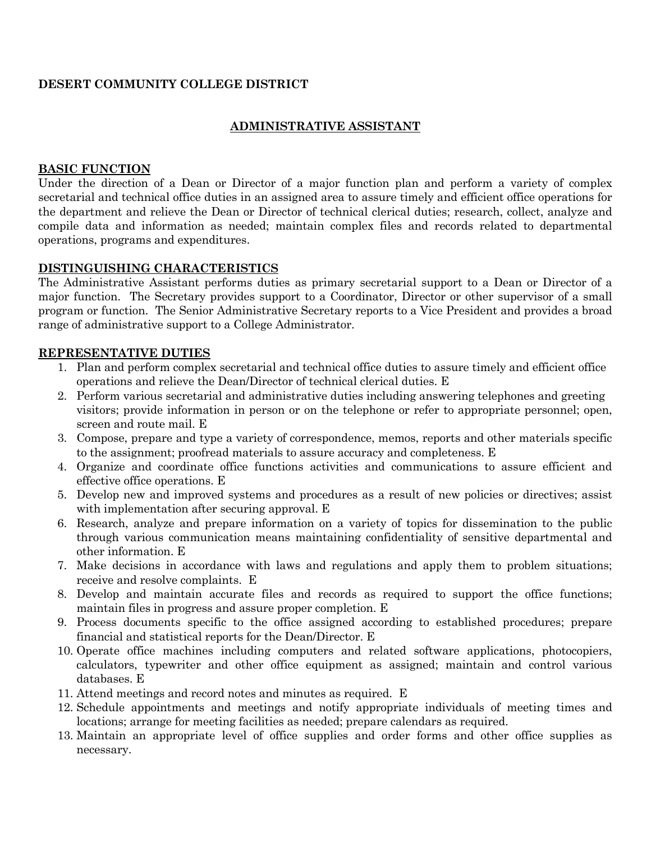# **DESERT COMMUNITY COLLEGE DISTRICT**

# **ADMINISTRATIVE ASSISTANT**

#### **BASIC FUNCTION**

Under the direction of a Dean or Director of a major function plan and perform a variety of complex secretarial and technical office duties in an assigned area to assure timely and efficient office operations for the department and relieve the Dean or Director of technical clerical duties; research, collect, analyze and compile data and information as needed; maintain complex files and records related to departmental operations, programs and expenditures.

#### **DISTINGUISHING CHARACTERISTICS**

The Administrative Assistant performs duties as primary secretarial support to a Dean or Director of a major function. The Secretary provides support to a Coordinator, Director or other supervisor of a small program or function. The Senior Administrative Secretary reports to a Vice President and provides a broad range of administrative support to a College Administrator.

#### **REPRESENTATIVE DUTIES**

- 1. Plan and perform complex secretarial and technical office duties to assure timely and efficient office operations and relieve the Dean/Director of technical clerical duties. E
- 2. Perform various secretarial and administrative duties including answering telephones and greeting visitors; provide information in person or on the telephone or refer to appropriate personnel; open, screen and route mail. E
- 3. Compose, prepare and type a variety of correspondence, memos, reports and other materials specific to the assignment; proofread materials to assure accuracy and completeness. E
- 4. Organize and coordinate office functions activities and communications to assure efficient and effective office operations. E
- 5. Develop new and improved systems and procedures as a result of new policies or directives; assist with implementation after securing approval. E
- 6. Research, analyze and prepare information on a variety of topics for dissemination to the public through various communication means maintaining confidentiality of sensitive departmental and other information. E
- 7. Make decisions in accordance with laws and regulations and apply them to problem situations; receive and resolve complaints. E
- 8. Develop and maintain accurate files and records as required to support the office functions; maintain files in progress and assure proper completion. E
- 9. Process documents specific to the office assigned according to established procedures; prepare financial and statistical reports for the Dean/Director. E
- 10. Operate office machines including computers and related software applications, photocopiers, calculators, typewriter and other office equipment as assigned; maintain and control various databases. E
- 11. Attend meetings and record notes and minutes as required. E
- 12. Schedule appointments and meetings and notify appropriate individuals of meeting times and locations; arrange for meeting facilities as needed; prepare calendars as required.
- 13. Maintain an appropriate level of office supplies and order forms and other office supplies as necessary.